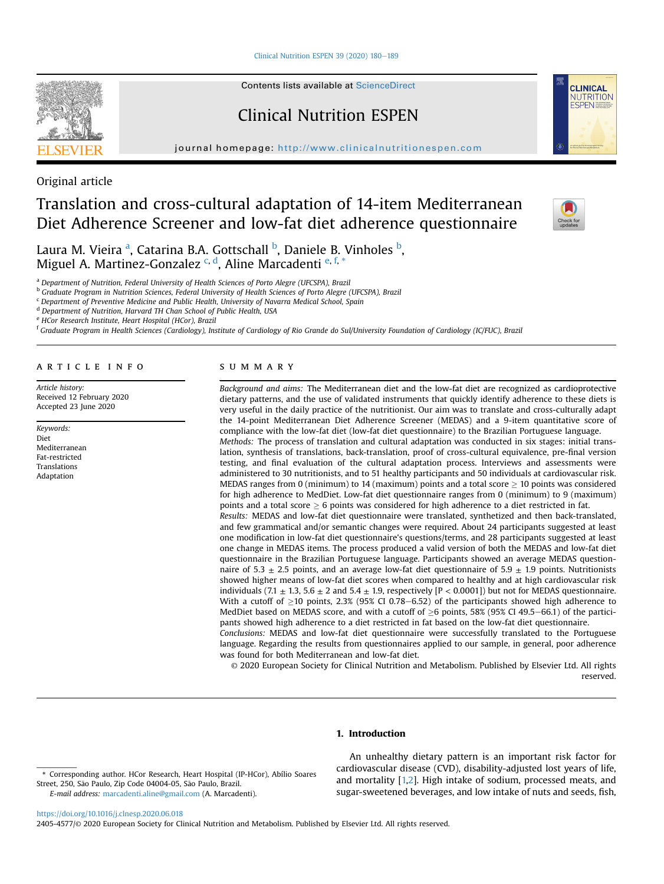Clinical Nutrition ESPEN 39 (2020)  $180-189$  $180-189$ 

Contents lists available at ScienceDirect

# Clinical Nutrition ESPEN

journal homepage: <http://www.clinicalnutritionespen.com>



**CLINICAL NUTRITION FSPEN** 

Original article

# Translation and cross-cultural adaptation of 14-item Mediterranean Diet Adherence Screener and low-fat diet adherence questionnaire

L[a](#page-0-0)ura M. Vieira <sup>a</sup>, Catarina B.A. Gottschall <sup>[b](#page-0-1)</sup>, Daniele B. Vinholes <sup>b</sup>, Miguel A. Martinez-Gonzalez <sup>[c,](#page-0-2) [d](#page-0-3)</sup>, Aline Marcadenti <sup>[e,](#page-0-4) [f](#page-0-5),</sup> [\\*](#page-0-6)

<span id="page-0-0"></span><sup>a</sup> Department of Nutrition, Federal University of Health Sciences of Porto Alegre (UFCSPA), Brazil

<span id="page-0-1"></span>**b** Graduate Program in Nutrition Sciences, Federal University of Health Sciences of Porto Alegre (UFCSPA), Brazil

<span id="page-0-2"></span> $c$  Department of Preventive Medicine and Public Health, University of Navarra Medical School, Spain

<span id="page-0-3"></span><sup>d</sup> Department of Nutrition, Harvard TH Chan School of Public Health, USA

<span id="page-0-4"></span><sup>e</sup> HCor Research Institute, Heart Hospital (HCor), Brazil

<span id="page-0-5"></span><sup>f</sup> Graduate Program in Health Sciences (Cardiology), Institute of Cardiology of Rio Grande do Sul/University Foundation of Cardiology (IC/FUC), Brazil

#### article info

Article history: Received 12 February 2020 Accepted 23 June 2020

Keywords: Diet Mediterranean Fat-restricted Translations Adaptation

## SUMMARY

Background and aims: The Mediterranean diet and the low-fat diet are recognized as cardioprotective dietary patterns, and the use of validated instruments that quickly identify adherence to these diets is very useful in the daily practice of the nutritionist. Our aim was to translate and cross-culturally adapt the 14-point Mediterranean Diet Adherence Screener (MEDAS) and a 9-item quantitative score of compliance with the low-fat diet (low-fat diet questionnaire) to the Brazilian Portuguese language. Methods: The process of translation and cultural adaptation was conducted in six stages: initial translation, synthesis of translations, back-translation, proof of cross-cultural equivalence, pre-final version testing, and final evaluation of the cultural adaptation process. Interviews and assessments were administered to 30 nutritionists, and to 51 healthy participants and 50 individuals at cardiovascular risk. MEDAS ranges from 0 (minimum) to 14 (maximum) points and a total score  $\geq$  10 points was considered for high adherence to MedDiet. Low-fat diet questionnaire ranges from 0 (minimum) to 9 (maximum) points and a total score  $\geq 6$  points was considered for high adherence to a diet restricted in fat. Results: MEDAS and low-fat diet questionnaire were translated, synthetized and then back-translated, and few grammatical and/or semantic changes were required. About 24 participants suggested at least one modification in low-fat diet questionnaire's questions/terms, and 28 participants suggested at least one change in MEDAS items. The process produced a valid version of both the MEDAS and low-fat diet questionnaire in the Brazilian Portuguese language. Participants showed an average MEDAS questionnaire of 5.3  $\pm$  2.5 points, and an average low-fat diet questionnaire of 5.9  $\pm$  1.9 points. Nutritionists showed higher means of low-fat diet scores when compared to healthy and at high cardiovascular risk individuals (7.1  $\pm$  1.3, 5.6  $\pm$  2 and 5.4  $\pm$  1.9, respectively [P < 0.0001]) but not for MEDAS questionnaire. With a cutoff of  $>10$  points, 2.3% (95% CI 0.78–6.52) of the participants showed high adherence to MedDiet based on MEDAS score, and with a cutoff of  $\geq 6$  points, 58% (95% CI 49.5–66.1) of the participants showed high adherence to a diet restricted in fat based on the low-fat diet questionnaire. Conclusions: MEDAS and low-fat diet questionnaire were successfully translated to the Portuguese

language. Regarding the results from questionnaires applied to our sample, in general, poor adherence was found for both Mediterranean and low-fat diet.

© 2020 European Society for Clinical Nutrition and Metabolism. Published by Elsevier Ltd. All rights reserved.

# 1. Introduction

E-mail address: [marcadenti.aline@gmail.com](mailto:marcadenti.aline@gmail.com) (A. Marcadenti).

An unhealthy dietary pattern is an important risk factor for cardiovascular disease (CVD), disability-adjusted lost years of life, and mortality [\[1,](#page-8-0)[2\]](#page-8-1). High intake of sodium, processed meats, and sugar-sweetened beverages, and low intake of nuts and seeds, fish,

<https://doi.org/10.1016/j.clnesp.2020.06.018>

<span id="page-0-6"></span><sup>\*</sup> Corresponding author. HCor Research, Heart Hospital (IP-HCor), Abílio Soares Street, 250, São Paulo, Zip Code 04004-05, São Paulo, Brazil.

<sup>2405-4577/</sup>© 2020 European Society for Clinical Nutrition and Metabolism. Published by Elsevier Ltd. All rights reserved.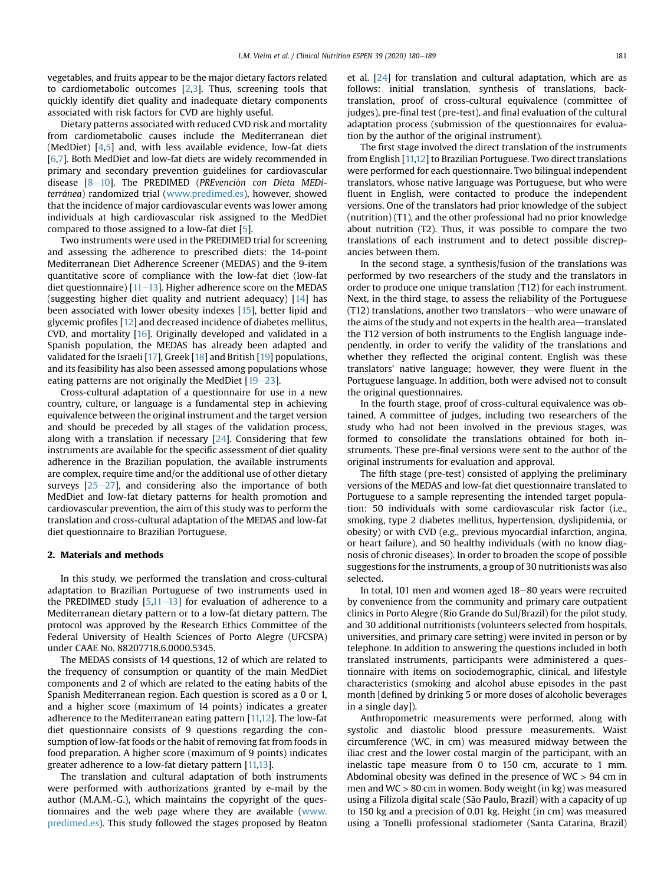vegetables, and fruits appear to be the major dietary factors related to cardiometabolic outcomes [\[2,](#page-8-1)[3\]](#page-8-2). Thus, screening tools that quickly identify diet quality and inadequate dietary components associated with risk factors for CVD are highly useful.

Dietary patterns associated with reduced CVD risk and mortality from cardiometabolic causes include the Mediterranean diet (MedDiet) [\[4,](#page-8-3)[5\]](#page-8-4) and, with less available evidence, low-fat diets [\[6](#page-8-5)[,7\]](#page-8-6). Both MedDiet and low-fat diets are widely recommended in primary and secondary prevention guidelines for cardiovascular disease [[8](#page-8-7)-[10\]](#page-8-7). The PREDIMED (PREvención con Dieta MEDi-terránea) randomized trial [\(www.predimed.es\)](http://www.predimed.es), however, showed that the incidence of major cardiovascular events was lower among individuals at high cardiovascular risk assigned to the MedDiet compared to those assigned to a low-fat diet [[5](#page-8-4)].

Two instruments were used in the PREDIMED trial for screening and assessing the adherence to prescribed diets: the 14-point Mediterranean Diet Adherence Screener (MEDAS) and the 9-item quantitative score of compliance with the low-fat diet (low-fat diet questionnaire)  $[11-13]$  $[11-13]$  $[11-13]$  $[11-13]$ . Higher adherence score on the MEDAS (suggesting higher diet quality and nutrient adequacy) [[14\]](#page-8-9) has been associated with lower obesity indexes [[15\]](#page-8-10), better lipid and glycemic profiles [[12\]](#page-8-11) and decreased incidence of diabetes mellitus, CVD, and mortality [\[16\]](#page-8-12). Originally developed and validated in a Spanish population, the MEDAS has already been adapted and validated for the Israeli [[17](#page-8-13)], Greek [[18\]](#page-8-14) and British [\[19](#page-8-15)] populations, and its feasibility has also been assessed among populations whose eating patterns are not originally the MedDiet  $[19-23]$  $[19-23]$  $[19-23]$  $[19-23]$  $[19-23]$ .

Cross-cultural adaptation of a questionnaire for use in a new country, culture, or language is a fundamental step in achieving equivalence between the original instrument and the target version and should be preceded by all stages of the validation process, along with a translation if necessary [[24](#page-9-0)]. Considering that few instruments are available for the specific assessment of diet quality adherence in the Brazilian population, the available instruments are complex, require time and/or the additional use of other dietary surveys  $[25-27]$  $[25-27]$  $[25-27]$  $[25-27]$ , and considering also the importance of both MedDiet and low-fat dietary patterns for health promotion and cardiovascular prevention, the aim of this study was to perform the translation and cross-cultural adaptation of the MEDAS and low-fat diet questionnaire to Brazilian Portuguese.

# 2. Materials and methods

In this study, we performed the translation and cross-cultural adaptation to Brazilian Portuguese of two instruments used in the PREDIMED study  $[5,11-13]$  $[5,11-13]$  $[5,11-13]$  $[5,11-13]$  $[5,11-13]$  for evaluation of adherence to a Mediterranean dietary pattern or to a low-fat dietary pattern. The protocol was approved by the Research Ethics Committee of the Federal University of Health Sciences of Porto Alegre (UFCSPA) under CAAE No. 88207718.6.0000.5345.

The MEDAS consists of 14 questions, 12 of which are related to the frequency of consumption or quantity of the main MedDiet components and 2 of which are related to the eating habits of the Spanish Mediterranean region. Each question is scored as a 0 or 1, and a higher score (maximum of 14 points) indicates a greater adherence to the Mediterranean eating pattern [[11,](#page-8-8)[12](#page-8-11)]. The low-fat diet questionnaire consists of 9 questions regarding the consumption of low-fat foods or the habit of removing fat from foods in food preparation. A higher score (maximum of 9 points) indicates greater adherence to a low-fat dietary pattern [\[11,](#page-8-8)[13\]](#page-8-16).

The translation and cultural adaptation of both instruments were performed with authorizations granted by e-mail by the author (M.A.M.-G.), which maintains the copyright of the questionnaires and the web page where they are available ([www.](http://www.predimed.es) [predimed.es](http://www.predimed.es)). This study followed the stages proposed by Beaton et al. [\[24\]](#page-9-0) for translation and cultural adaptation, which are as follows: initial translation, synthesis of translations, backtranslation, proof of cross-cultural equivalence (committee of judges), pre-final test (pre-test), and final evaluation of the cultural adaptation process (submission of the questionnaires for evaluation by the author of the original instrument).

The first stage involved the direct translation of the instruments from English [[11](#page-8-8)[,12](#page-8-11)] to Brazilian Portuguese. Two direct translations were performed for each questionnaire. Two bilingual independent translators, whose native language was Portuguese, but who were fluent in English, were contacted to produce the independent versions. One of the translators had prior knowledge of the subject (nutrition) (T1), and the other professional had no prior knowledge about nutrition (T2). Thus, it was possible to compare the two translations of each instrument and to detect possible discrepancies between them.

In the second stage, a synthesis/fusion of the translations was performed by two researchers of the study and the translators in order to produce one unique translation (T12) for each instrument. Next, in the third stage, to assess the reliability of the Portuguese  $(T12)$  translations, another two translators—who were unaware of the aims of the study and not experts in the health area—translated the T12 version of both instruments to the English language independently, in order to verify the validity of the translations and whether they reflected the original content. English was these translators' native language; however, they were fluent in the Portuguese language. In addition, both were advised not to consult the original questionnaires.

In the fourth stage, proof of cross-cultural equivalence was obtained. A committee of judges, including two researchers of the study who had not been involved in the previous stages, was formed to consolidate the translations obtained for both instruments. These pre-final versions were sent to the author of the original instruments for evaluation and approval.

The fifth stage (pre-test) consisted of applying the preliminary versions of the MEDAS and low-fat diet questionnaire translated to Portuguese to a sample representing the intended target population: 50 individuals with some cardiovascular risk factor (i.e., smoking, type 2 diabetes mellitus, hypertension, dyslipidemia, or obesity) or with CVD (e.g., previous myocardial infarction, angina, or heart failure), and 50 healthy individuals (with no know diagnosis of chronic diseases). In order to broaden the scope of possible suggestions for the instruments, a group of 30 nutritionists was also selected.

In total, 101 men and women aged 18-80 years were recruited by convenience from the community and primary care outpatient clinics in Porto Alegre (Rio Grande do Sul/Brazil) for the pilot study, and 30 additional nutritionists (volunteers selected from hospitals, universities, and primary care setting) were invited in person or by telephone. In addition to answering the questions included in both translated instruments, participants were administered a questionnaire with items on sociodemographic, clinical, and lifestyle characteristics (smoking and alcohol abuse episodes in the past month [defined by drinking 5 or more doses of alcoholic beverages in a single day]).

Anthropometric measurements were performed, along with systolic and diastolic blood pressure measurements. Waist circumference (WC, in cm) was measured midway between the iliac crest and the lower costal margin of the participant, with an inelastic tape measure from 0 to 150 cm, accurate to 1 mm. Abdominal obesity was defined in the presence of  $WC > 94$  cm in men and WC > 80 cm in women. Body weight (in kg) was measured using a Filizola digital scale (São Paulo, Brazil) with a capacity of up to 150 kg and a precision of 0.01 kg. Height (in cm) was measured using a Tonelli professional stadiometer (Santa Catarina, Brazil)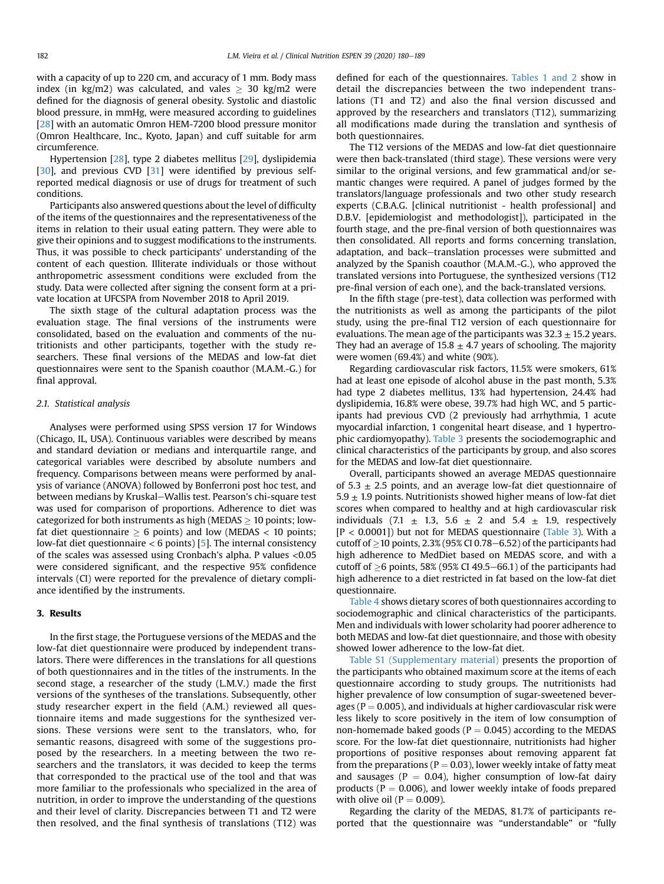with a capacity of up to 220 cm, and accuracy of 1 mm. Body mass index (in kg/m2) was calculated, and vales  $\geq$  30 kg/m2 were defined for the diagnosis of general obesity. Systolic and diastolic blood pressure, in mmHg, were measured according to guidelines [[28](#page-9-2)] with an automatic Omron HEM-7200 blood pressure monitor (Omron Healthcare, Inc., Kyoto, Japan) and cuff suitable for arm circumference.

Hypertension [[28](#page-9-2)], type 2 diabetes mellitus [[29](#page-9-3)], dyslipidemia [[30](#page-9-4)], and previous CVD [[31\]](#page-9-5) were identified by previous selfreported medical diagnosis or use of drugs for treatment of such conditions.

Participants also answered questions about the level of difficulty of the items of the questionnaires and the representativeness of the items in relation to their usual eating pattern. They were able to give their opinions and to suggest modifications to the instruments. Thus, it was possible to check participants' understanding of the content of each question. Illiterate individuals or those without anthropometric assessment conditions were excluded from the study. Data were collected after signing the consent form at a private location at UFCSPA from November 2018 to April 2019.

The sixth stage of the cultural adaptation process was the evaluation stage. The final versions of the instruments were consolidated, based on the evaluation and comments of the nutritionists and other participants, together with the study researchers. These final versions of the MEDAS and low-fat diet questionnaires were sent to the Spanish coauthor (M.A.M.-G.) for final approval.

## 2.1. Statistical analysis

Analyses were performed using SPSS version 17 for Windows (Chicago, IL, USA). Continuous variables were described by means and standard deviation or medians and interquartile range, and categorical variables were described by absolute numbers and frequency. Comparisons between means were performed by analysis of variance (ANOVA) followed by Bonferroni post hoc test, and between medians by Kruskal–Wallis test. Pearson's chi-square test was used for comparison of proportions. Adherence to diet was categorized for both instruments as high (MEDAS  $\geq$  10 points; lowfat diet questionnaire  $\geq 6$  points) and low (MEDAS  $\lt 10$  points; low-fat diet questionnaire < 6 points) [\[5\]](#page-8-4). The internal consistency of the scales was assessed using Cronbach's alpha. P values <0.05 were considered significant, and the respective 95% confidence intervals (CI) were reported for the prevalence of dietary compliance identified by the instruments.

# 3. Results

In the first stage, the Portuguese versions of the MEDAS and the low-fat diet questionnaire were produced by independent translators. There were differences in the translations for all questions of both questionnaires and in the titles of the instruments. In the second stage, a researcher of the study (L.M.V.) made the first versions of the syntheses of the translations. Subsequently, other study researcher expert in the field (A.M.) reviewed all questionnaire items and made suggestions for the synthesized versions. These versions were sent to the translators, who, for semantic reasons, disagreed with some of the suggestions proposed by the researchers. In a meeting between the two researchers and the translators, it was decided to keep the terms that corresponded to the practical use of the tool and that was more familiar to the professionals who specialized in the area of nutrition, in order to improve the understanding of the questions and their level of clarity. Discrepancies between T1 and T2 were then resolved, and the final synthesis of translations (T12) was defined for each of the questionnaires. [Tables 1 and 2](#page-3-0) show in detail the discrepancies between the two independent translations (T1 and T2) and also the final version discussed and approved by the researchers and translators (T12), summarizing all modifications made during the translation and synthesis of both questionnaires.

The T12 versions of the MEDAS and low-fat diet questionnaire were then back-translated (third stage). These versions were very similar to the original versions, and few grammatical and/or semantic changes were required. A panel of judges formed by the translators/language professionals and two other study research experts (C.B.A.G. [clinical nutritionist - health professional] and D.B.V. [epidemiologist and methodologist]), participated in the fourth stage, and the pre-final version of both questionnaires was then consolidated. All reports and forms concerning translation, adaptation, and back-translation processes were submitted and analyzed by the Spanish coauthor (M.A.M.-G.), who approved the translated versions into Portuguese, the synthesized versions (T12 pre-final version of each one), and the back-translated versions.

In the fifth stage (pre-test), data collection was performed with the nutritionists as well as among the participants of the pilot study, using the pre-final T12 version of each questionnaire for evaluations. The mean age of the participants was  $32.3 \pm 15.2$  years. They had an average of  $15.8 \pm 4.7$  years of schooling. The majority were women (69.4%) and white (90%).

Regarding cardiovascular risk factors, 11.5% were smokers, 61% had at least one episode of alcohol abuse in the past month, 5.3% had type 2 diabetes mellitus, 13% had hypertension, 24.4% had dyslipidemia, 16.8% were obese, 39.7% had high WC, and 5 participants had previous CVD (2 previously had arrhythmia, 1 acute myocardial infarction, 1 congenital heart disease, and 1 hypertrophic cardiomyopathy). [Table 3](#page-6-0) presents the sociodemographic and clinical characteristics of the participants by group, and also scores for the MEDAS and low-fat diet questionnaire.

Overall, participants showed an average MEDAS questionnaire of 5.3  $\pm$  2.5 points, and an average low-fat diet questionnaire of  $5.9 \pm 1.9$  points. Nutritionists showed higher means of low-fat diet scores when compared to healthy and at high cardiovascular risk individuals (7.1  $\pm$  1.3, 5.6  $\pm$  2 and 5.4  $\pm$  1.9, respectively [P < 0.0001]) but not for MEDAS questionnaire ([Table 3](#page-6-0)). With a cutoff of  $\geq$  10 points, 2.3% (95% CI 0.78–6.52) of the participants had high adherence to MedDiet based on MEDAS score, and with a cutoff of  $\geq$ 6 points, 58% (95% CI 49.5–66.1) of the participants had high adherence to a diet restricted in fat based on the low-fat diet questionnaire.

[Table 4](#page-6-1) shows dietary scores of both questionnaires according to sociodemographic and clinical characteristics of the participants. Men and individuals with lower scholarity had poorer adherence to both MEDAS and low-fat diet questionnaire, and those with obesity showed lower adherence to the low-fat diet.

Table S1 (Supplementary material) presents the proportion of the participants who obtained maximum score at the items of each questionnaire according to study groups. The nutritionists had higher prevalence of low consumption of sugar-sweetened beverages ( $P = 0.005$ ), and individuals at higher cardiovascular risk were less likely to score positively in the item of low consumption of non-homemade baked goods ( $P = 0.045$ ) according to the MEDAS score. For the low-fat diet questionnaire, nutritionists had higher proportions of positive responses about removing apparent fat from the preparations ( $P = 0.03$ ), lower weekly intake of fatty meat and sausages ( $P = 0.04$ ), higher consumption of low-fat dairy products ( $P = 0.006$ ), and lower weekly intake of foods prepared with olive oil ( $P = 0.009$ ).

Regarding the clarity of the MEDAS, 81.7% of participants reported that the questionnaire was "understandable" or "fully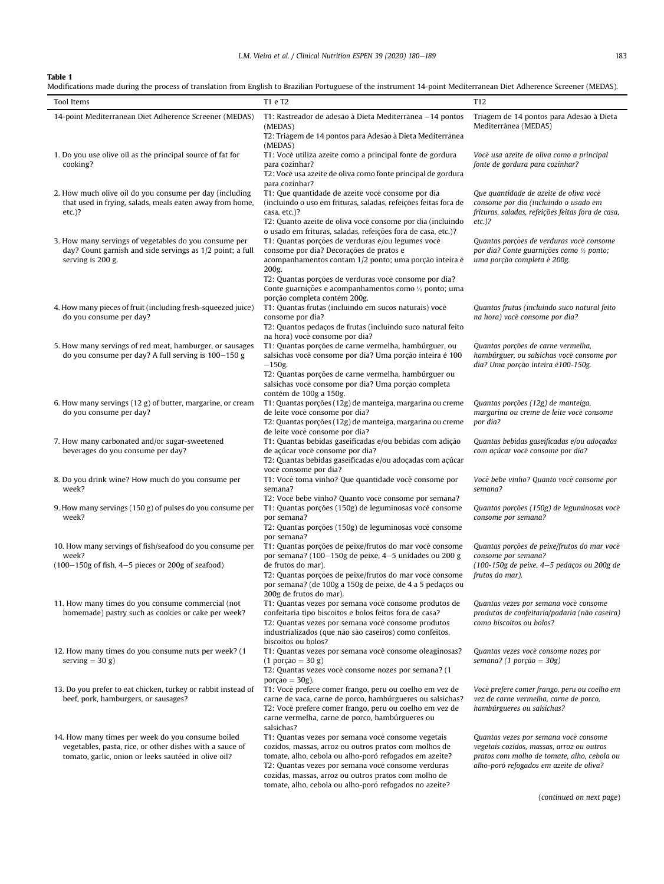# <span id="page-3-0"></span>Table 1

Modifications made during the process of translation from English to Brazilian Portuguese of the instrument 14-point Mediterranean Diet Adherence Screener (MEDAS).

| Tool Items                                                                                                                                                            | T1 e T2                                                                                                                                                                                                                                                                             | T <sub>12</sub>                                                                                                                                                              |
|-----------------------------------------------------------------------------------------------------------------------------------------------------------------------|-------------------------------------------------------------------------------------------------------------------------------------------------------------------------------------------------------------------------------------------------------------------------------------|------------------------------------------------------------------------------------------------------------------------------------------------------------------------------|
| 14-point Mediterranean Diet Adherence Screener (MEDAS)                                                                                                                | T1: Rastreador de adesão à Dieta Mediterrânea -14 pontos<br>(MEDAS)<br>T2: Triagem de 14 pontos para Adesão à Dieta Mediterrânea                                                                                                                                                    | Triagem de 14 pontos para Adesão à Dieta<br>Mediterrânea (MEDAS)                                                                                                             |
| 1. Do you use olive oil as the principal source of fat for<br>cooking?                                                                                                | (MEDAS)<br>T1: Você utiliza azeite como a principal fonte de gordura<br>para cozinhar?<br>T2: Você usa azeite de oliva como fonte principal de gordura<br>para cozinhar?                                                                                                            | Você usa azeite de oliva como a principal<br>fonte de gordura para cozinhar?                                                                                                 |
| 2. How much olive oil do you consume per day (including<br>that used in frying, salads, meals eaten away from home,<br>$etc.$ )?                                      | T1: Que quantidade de azeite você consome por dia<br>(incluindo o uso em frituras, saladas, refeições feitas fora de<br>casa, etc.)?<br>T2: Quanto azeite de oliva você consome por dia (incluindo                                                                                  | Que quantidade de azeite de oliva você<br>consome por dia (incluindo o usado em<br>frituras, saladas, refeições feitas fora de casa,<br>$etc.$ )?                            |
| 3. How many servings of vegetables do you consume per<br>day? Count garnish and side servings as 1/2 point; a full<br>serving is 200 g.                               | o usado em frituras, saladas, refeições fora de casa, etc.)?<br>T1: Quantas porções de verduras e/ou legumes você<br>consome por dia? Decorações de pratos e<br>acompanhamentos contam 1/2 ponto; uma porção inteira é<br>200g.                                                     | Quantas porções de verduras você consome<br>por dia? Conte guarnições como 1/2 ponto;<br>uma porção completa é 200g.                                                         |
| 4. How many pieces of fruit (including fresh-squeezed juice)                                                                                                          | T2: Quantas porções de verduras você consome por dia?<br>Conte guarnições e acompanhamentos como 1/2 ponto; uma<br>porção completa contém 200g.<br>T1: Quantas frutas (incluindo em sucos naturais) você                                                                            | Quantas frutas (incluindo suco natural feito<br>na hora) você consome por dia?                                                                                               |
| do you consume per day?                                                                                                                                               | consome por dia?<br>T2: Quantos pedaços de frutas (incluindo suco natural feito<br>na hora) você consome por dia?                                                                                                                                                                   |                                                                                                                                                                              |
| 5. How many servings of red meat, hamburger, or sausages<br>do you consume per day? A full serving is 100-150 g                                                       | T1: Quantas porções de carne vermelha, hambúrguer, ou<br>salsichas você consome por dia? Uma porção inteira é 100<br>$-150$ g.<br>T2: Quantas porções de carne vermelha, hambúrguer ou<br>salsichas você consome por dia? Uma porção completa<br>contém de 100g a 150g.             | Quantas porções de carne vermelha,<br>hambúrguer, ou salsichas você consome por<br>dia? Uma porção inteira é100-150g.                                                        |
| 6. How many servings (12 g) of butter, margarine, or cream<br>do you consume per day?                                                                                 | T1: Quantas porções (12g) de manteiga, margarina ou creme<br>de leite você consome por dia?<br>T2: Quantas porções (12g) de manteiga, margarina ou creme<br>de leite você consome por dia?                                                                                          | Quantas porções (12g) de manteiga,<br>margarina ou creme de leite você consome<br>por dia?                                                                                   |
| 7. How many carbonated and/or sugar-sweetened<br>beverages do you consume per day?                                                                                    | T1: Quantas bebidas gaseificadas e/ou bebidas com adição<br>de açúcar você consome por dia?<br>T2: Quantas bebidas gaseificadas e/ou adoçadas com açúcar<br>você consome por dia?                                                                                                   | Quantas bebidas gaseificadas e/ou adoçadas<br>com açúcar você consome por dia?                                                                                               |
| 8. Do you drink wine? How much do you consume per<br>week?                                                                                                            | T1: Você toma vinho? Que quantidade você consome por<br>semana?<br>T2: Você bebe vinho? Quanto você consome por semana?                                                                                                                                                             | Você bebe vinho? Quanto você consome por<br>semana?                                                                                                                          |
| 9. How many servings (150 g) of pulses do you consume per<br>week?                                                                                                    | T1: Quantas porções (150g) de leguminosas você consome<br>por semana?<br>T2: Quantas porções (150g) de leguminosas você consome<br>por semana?                                                                                                                                      | Quantas porções (150g) de leguminosas você<br>consome por semana?                                                                                                            |
| 10. How many servings of fish/seafood do you consume per<br>week?<br>$(100-150g$ of fish, $4-5$ pieces or 200g of seafood)                                            | T1: Quantas porções de peixe/frutos do mar você consome<br>por semana? (100-150g de peixe, 4-5 unidades ou 200 g<br>de frutos do mar).                                                                                                                                              | Quantas porções de peixe/frutos do mar você<br>consome por semana?<br>(100-150g de peixe, 4-5 pedaços ou 200g de                                                             |
|                                                                                                                                                                       | T2: Quantas porções de peixe/frutos do mar você consome<br>por semana? (de 100g a 150g de peixe, de 4 a 5 pedaços ou<br>200g de frutos do mar).                                                                                                                                     | frutos do mar).                                                                                                                                                              |
| 11. How many times do you consume commercial (not<br>homemade) pastry such as cookies or cake per week?                                                               | T1: Quantas vezes por semana você consome produtos de<br>confeitaria tipo biscoitos e bolos feitos fora de casa?<br>T2: Quantas vezes por semana você consome produtos<br>industrializados (que não são caseiros) como confeitos,<br>biscoitos ou bolos?                            | Quantas vezes por semana você consome<br>produtos de confeitaria/padaria (não caseira)<br>como biscoitos ou bolos?                                                           |
| 12. How many times do you consume nuts per week? (1<br>serving $=$ 30 g)                                                                                              | T1: Quantas vezes por semana você consome oleaginosas?<br>$(1 \text{ porção} = 30 \text{ g})$<br>T2: Quantas vezes você consome nozes por semana? (1<br>porção $= 30$ g).                                                                                                           | Quantas vezes você consome nozes por<br>semana? (1 porção = 30g)                                                                                                             |
| 13. Do you prefer to eat chicken, turkey or rabbit instead of<br>beef, pork, hamburgers, or sausages?                                                                 | T1: Você prefere comer frango, peru ou coelho em vez de<br>carne de vaca, carne de porco, hambúrgueres ou salsichas?<br>T2: Você prefere comer frango, peru ou coelho em vez de<br>carne vermelha, carne de porco, hambúrgueres ou<br>salsichas?                                    | Você prefere comer frango, peru ou coelho em<br>vez de carne vermelha, carne de porco,<br>hambúrgueres ou salsichas?                                                         |
| 14. How many times per week do you consume boiled<br>vegetables, pasta, rice, or other dishes with a sauce of<br>tomato, garlic, onion or leeks sautéed in olive oil? | T1: Quantas vezes por semana você consome vegetais<br>cozidos, massas, arroz ou outros pratos com molhos de<br>tomate, alho, cebola ou alho-poró refogados em azeite?<br>T2: Quantas vezes por semana você consome verduras<br>cozidas, massas, arroz ou outros pratos com molho de | Quantas vezes por semana você consome<br>vegetais cozidos, massas, arroz ou outros<br>pratos com molho de tomate, alho, cebola ou<br>alho-poró refogados em azeite de oliva? |

tomate, alho, cebola ou alho-poró refogados no azeite?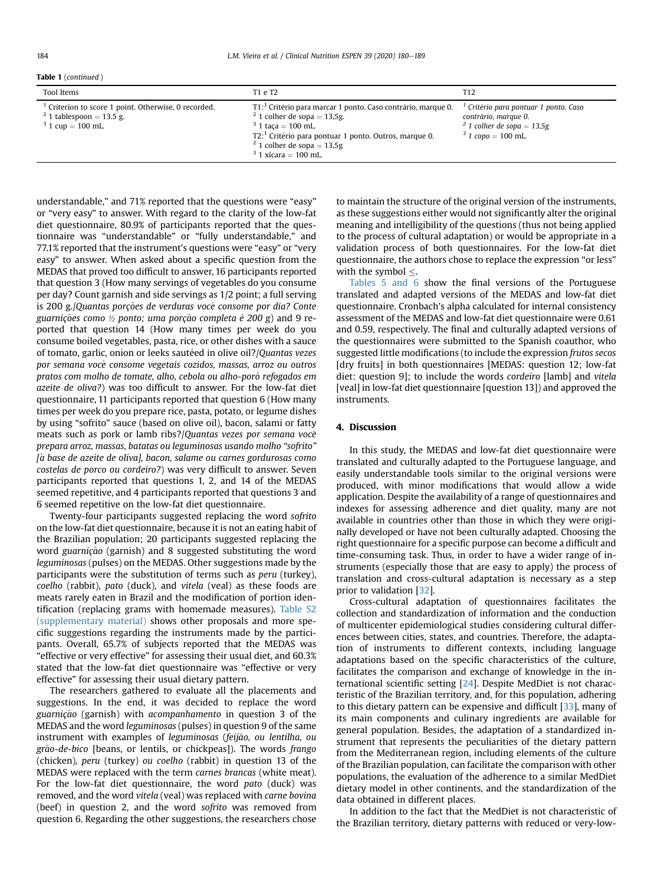|  | <b>Table 1</b> (continued) |  |
|--|----------------------------|--|
|--|----------------------------|--|

| Tool Items                                                                                                                 | T1 e T2                                                                                                                                                                                                                                                                     | T12                                                                                                                    |
|----------------------------------------------------------------------------------------------------------------------------|-----------------------------------------------------------------------------------------------------------------------------------------------------------------------------------------------------------------------------------------------------------------------------|------------------------------------------------------------------------------------------------------------------------|
| Criterion to score 1 point. Otherwise, 0 recorded.<br>$^{2}$ 1 tablespoon = 13.5 g.<br>$3\text{ 1 cup} = 100 \text{ mL}$ . | T1: <sup>1</sup> Critério para marcar 1 ponto. Caso contrário, marque 0.<br>$^{2}$ 1 colher de sopa = 13,5g.<br>$3$ 1 taca = 100 mL.<br>$T2$ ; $T2$ Critério para pontuar 1 ponto. Outros, marque 0.<br>$^{2}$ 1 colher de sopa = 13,5g<br>$3\frac{1}{2}$ 1 xícara = 100 mL | Critério para pontuar 1 ponto. Caso<br>contrário, marque 0.<br>$^{2}$ 1 colher de sopa = 13,5g<br>$3/1$ copo = 100 mL. |

understandable," and 71% reported that the questions were "easy" or "very easy" to answer. With regard to the clarity of the low-fat diet questionnaire, 80.9% of participants reported that the questionnaire was "understandable" or "fully understandable," and 77.1% reported that the instrument's questions were "easy" or "very easy" to answer. When asked about a specific question from the MEDAS that proved too difficult to answer, 16 participants reported that question 3 (How many servings of vegetables do you consume per day? Count garnish and side servings as 1/2 point; a full serving is 200 g./Quantas porções de verduras você consome por dia? Conte guarnições como ½ ponto; uma porção completa é 200 g) and 9 reported that question 14 (How many times per week do you consume boiled vegetables, pasta, rice, or other dishes with a sauce of tomato, garlic, onion or leeks sautéed in olive oil?/Quantas vezes por semana voc^e consome vegetais cozidos, massas, arroz ou outros pratos com molho de tomate, alho, cebola ou alho-poró refogados em azeite de oliva?) was too difficult to answer. For the low-fat diet questionnaire, 11 participants reported that question 6 (How many times per week do you prepare rice, pasta, potato, or legume dishes by using "sofrito" sauce (based on olive oil), bacon, salami or fatty meats such as pork or lamb ribs?/Quantas vezes por semana você prepara arroz, massas, batatas ou leguminosas usando molho "sofrito" [a base de azeite de oliva], bacon, salame ou carnes gordurosas como costelas de porco ou cordeiro?) was very difficult to answer. Seven participants reported that questions 1, 2, and 14 of the MEDAS seemed repetitive, and 4 participants reported that questions 3 and 6 seemed repetitive on the low-fat diet questionnaire.

Twenty-four participants suggested replacing the word sofrito on the low-fat diet questionnaire, because it is not an eating habit of the Brazilian population; 20 participants suggested replacing the word guarnição (garnish) and 8 suggested substituting the word leguminosas (pulses) on the MEDAS. Other suggestions made by the participants were the substitution of terms such as peru (turkey), coelho (rabbit), pato (duck), and vitela (veal) as these foods are meats rarely eaten in Brazil and the modification of portion identification (replacing grams with homemade measures). Table S2 (supplementary material) shows other proposals and more specific suggestions regarding the instruments made by the participants. Overall, 65.7% of subjects reported that the MEDAS was "effective or very effective" for assessing their usual diet, and 60.3% stated that the low-fat diet questionnaire was "effective or very effective" for assessing their usual dietary pattern.

The researchers gathered to evaluate all the placements and suggestions. In the end, it was decided to replace the word guarnição (garnish) with acompanhamento in question 3 of the MEDAS and the word leguminosas (pulses) in question 9 of the same instrument with examples of leguminosas (feijão, ou lentilha, ou grão-de-bico [beans, or lentils, or chickpeas]). The words frango (chicken), peru (turkey) ou coelho (rabbit) in question 13 of the MEDAS were replaced with the term carnes brancas (white meat). For the low-fat diet questionnaire, the word pato (duck) was removed, and the word vitela (veal) was replaced with carne bovina (beef) in question 2, and the word sofrito was removed from question 6. Regarding the other suggestions, the researchers chose to maintain the structure of the original version of the instruments, as these suggestions either would not significantly alter the original meaning and intelligibility of the questions (thus not being applied to the process of cultural adaptation) or would be appropriate in a validation process of both questionnaires. For the low-fat diet questionnaire, the authors chose to replace the expression "or less" with the symbol  $\leq$ .

[Tables 5 and 6](#page-7-0) show the final versions of the Portuguese translated and adapted versions of the MEDAS and low-fat diet questionnaire. Cronbach's alpha calculated for internal consistency assessment of the MEDAS and low-fat diet questionnaire were 0.61 and 0.59, respectively. The final and culturally adapted versions of the questionnaires were submitted to the Spanish coauthor, who suggested little modifications (to include the expression frutos secos [dry fruits] in both questionnaires [MEDAS: question 12; low-fat diet: question 9]; to include the words cordeiro [lamb] and vitela [veal] in low-fat diet questionnaire [question 13]) and approved the instruments.

# 4. Discussion

In this study, the MEDAS and low-fat diet questionnaire were translated and culturally adapted to the Portuguese language, and easily understandable tools similar to the original versions were produced, with minor modifications that would allow a wide application. Despite the availability of a range of questionnaires and indexes for assessing adherence and diet quality, many are not available in countries other than those in which they were originally developed or have not been culturally adapted. Choosing the right questionnaire for a specific purpose can become a difficult and time-consuming task. Thus, in order to have a wider range of instruments (especially those that are easy to apply) the process of translation and cross-cultural adaptation is necessary as a step prior to validation [\[32\]](#page-9-6).

Cross-cultural adaptation of questionnaires facilitates the collection and standardization of information and the conduction of multicenter epidemiological studies considering cultural differences between cities, states, and countries. Therefore, the adaptation of instruments to different contexts, including language adaptations based on the specific characteristics of the culture, facilitates the comparison and exchange of knowledge in the international scientific setting [\[24\]](#page-9-0). Despite MedDiet is not characteristic of the Brazilian territory, and, for this population, adhering to this dietary pattern can be expensive and difficult [[33\]](#page-9-7), many of its main components and culinary ingredients are available for general population. Besides, the adaptation of a standardized instrument that represents the peculiarities of the dietary pattern from the Mediterranean region, including elements of the culture of the Brazilian population, can facilitate the comparison with other populations, the evaluation of the adherence to a similar MedDiet dietary model in other continents, and the standardization of the data obtained in different places.

In addition to the fact that the MedDiet is not characteristic of the Brazilian territory, dietary patterns with reduced or very-low-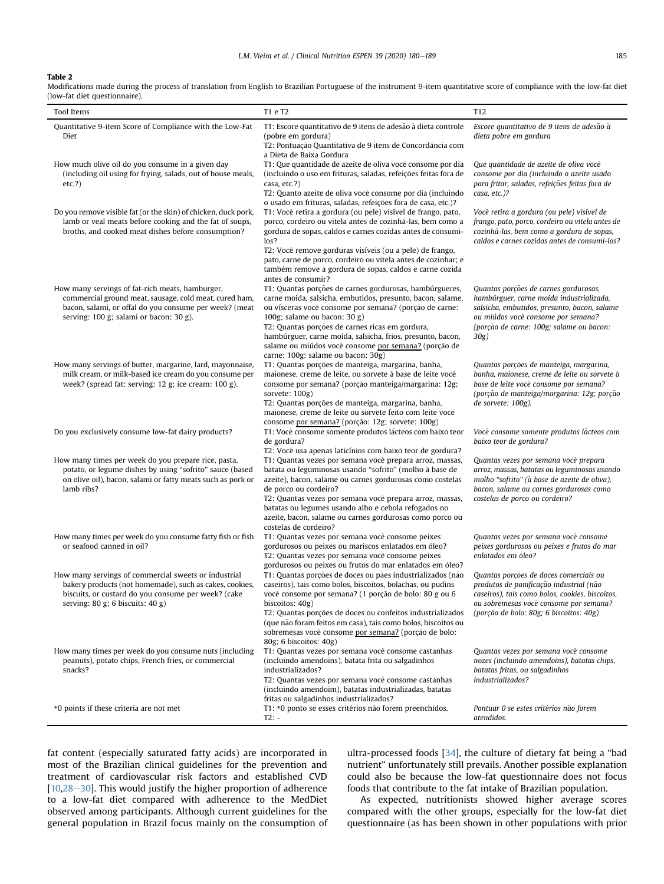# Table 2

Modifications made during the process of translation from English to Brazilian Portuguese of the instrument 9-item quantitative score of compliance with the low-fat diet (low-fat diet questionnaire).

| Tool Items                                                                                                                                                                                                       | T1 e T2                                                                                                                                                                                                                                                                                                                                                                                                                           | T <sub>12</sub>                                                                                                                                                                                                             |
|------------------------------------------------------------------------------------------------------------------------------------------------------------------------------------------------------------------|-----------------------------------------------------------------------------------------------------------------------------------------------------------------------------------------------------------------------------------------------------------------------------------------------------------------------------------------------------------------------------------------------------------------------------------|-----------------------------------------------------------------------------------------------------------------------------------------------------------------------------------------------------------------------------|
| Quantitative 9-item Score of Compliance with the Low-Fat<br>Diet                                                                                                                                                 | T1: Escore quantitativo de 9 itens de adesão à dieta controle<br>(pobre em gordura)<br>T2: Pontuação Quantitativa de 9 itens de Concordância com<br>a Dieta de Baixa Gordura                                                                                                                                                                                                                                                      | Escore quantitativo de 9 itens de adesão à<br>dieta pobre em gordura                                                                                                                                                        |
| How much olive oil do you consume in a given day<br>(including oil using for frying, salads, out of house meals,<br>etc.?)                                                                                       | T1: Que quantidade de azeite de oliva você consome por dia<br>(incluindo o uso em frituras, saladas, refeições feitas fora de<br>casa, etc.?)<br>T2: Quanto azeite de oliva você consome por dia (incluindo<br>o usado em frituras, saladas, refeições fora de casa, etc.)?                                                                                                                                                       | Que quantidade de azeite de oliva você<br>consome por dia (incluindo o azeite usado<br>para fritar, saladas, refeições feitas fora de<br>casa, etc.)?                                                                       |
| Do you remove visible fat (or the skin) of chicken, duck pork,<br>lamb or veal meats before cooking and the fat of soups,<br>broths, and cooked meat dishes before consumption?                                  | T1: Você retira a gordura (ou pele) visível de frango, pato,<br>porco, cordeiro ou vitela antes de cozinhá-las, bem como a<br>gordura de sopas, caldos e carnes cozidas antes de consumi-<br>$\log$ ?<br>T2: Você remove gorduras visíveis (ou a pele) de frango,<br>pato, carne de porco, cordeiro ou vitela antes de cozinhar; e<br>também remove a gordura de sopas, caldos e carne cozida<br>antes de consumir?               | Você retira a gordura (ou pele) visível de<br>frango, pato, porco, cordeiro ou vitela antes de<br>cozinhá-las, bem como a gordura de sopas,<br>caldos e carnes cozidas antes de consumi-los?                                |
| How many servings of fat-rich meats, hamburger,<br>commercial ground meat, sausage, cold meat, cured ham,<br>bacon, salami, or offal do you consume per week? (meat<br>serving: 100 g; salami or bacon: 30 g).   | T1: Quantas porções de carnes gordurosas, hambúrgueres,<br>carne moída, salsicha, embutidos, presunto, bacon, salame,<br>ou vísceras você consome por semana? (porção de carne:<br>100g; salame ou bacon: $30 g$ )<br>T2: Quantas porções de carnes ricas em gordura,<br>hambúrguer, carne moída, salsicha, frios, presunto, bacon,<br>salame ou miúdos você consome por semana? (porção de<br>carne: 100g; salame ou bacon: 30g) | Quantas porções de carnes gordurosas,<br>hambúrguer, carne moída industrializada,<br>salsicha, embutidos, presunto, bacon, salame<br>ou miúdos você consome por semana?<br>(porção de carne: 100g; salame ou bacon:<br>30g) |
| How many servings of butter, margarine, lard, mayonnaise,<br>milk cream, or milk-based ice cream do you consume per<br>week? (spread fat: serving: 12 g; ice cream: 100 g).                                      | T1: Quantas porções de manteiga, margarina, banha,<br>maionese, creme de leite, ou sorvete à base de leite você<br>consome por semana? (porção manteiga/margarina: 12g;<br>sorvete: 100g)<br>T2: Quantas porções de manteiga, margarina, banha,<br>maionese, creme de leite ou sorvete feito com leite você<br>consome por semana? (porção: 12g; sorvete: 100g)                                                                   | Quantas porções de manteiga, margarina,<br>banha, maionese, creme de leite ou sorvete à<br>base de leite você consome por semana?<br>(porção de manteiga/margarina: 12g; porção<br>de sorvete: 100g).                       |
| Do you exclusively consume low-fat dairy products?                                                                                                                                                               | T1: Você consome somente produtos lácteos com baixo teor<br>de gordura?<br>T2: Você usa apenas laticínios com baixo teor de gordura?                                                                                                                                                                                                                                                                                              | Você consome somente produtos lácteos com<br>baixo teor de gordura?                                                                                                                                                         |
| How many times per week do you prepare rice, pasta,<br>potato, or legume dishes by using "sofrito" sauce (based<br>on olive oil), bacon, salami or fatty meats such as pork or<br>lamb ribs?                     | T1: Quantas vezes por semana você prepara arroz, massas,<br>batata ou leguminosas usando "sofrito" (molho à base de<br>azeite), bacon, salame ou carnes gordurosas como costelas<br>de porco ou cordeiro?<br>T2: Quantas vezes por semana você prepara arroz, massas,<br>batatas ou legumes usando alho e cebola refogados no<br>azeite, bacon, salame ou carnes gordurosas como porco ou<br>costelas de cordeiro?                | Quantas vezes por semana você prepara<br>arroz, massas, batatas ou leguminosas usando<br>molho "sofrito" (à base de azeite de oliva),<br>bacon, salame ou carnes gordurosas como<br>costelas de porco ou cordeiro?          |
| How many times per week do you consume fatty fish or fish<br>or seafood canned in oil?                                                                                                                           | T1: Quantas vezes por semana você consome peixes<br>gordurosos ou peixes ou mariscos enlatados em óleo?<br>T2: Quantas vezes por semana você consome peixes<br>gordurosos ou peixes ou frutos do mar enlatados em óleo?                                                                                                                                                                                                           | Quantas vezes por semana você consome<br>peixes gordurosos ou peixes e frutos do mar<br>enlatados em óleo?                                                                                                                  |
| How many servings of commercial sweets or industrial<br>bakery products (not homemade), such as cakes, cookies,<br>biscuits, or custard do you consume per week? (cake<br>serving: $80 g$ ; 6 biscuits: $40 g$ ) | T1: Quantas porções de doces ou pães industrializados (não<br>caseiros), tais como bolos, biscoitos, bolachas, ou pudins<br>você consome por semana? (1 porção de bolo: 80 g ou 6<br>biscoitos: 40g)<br>T2: Quantas porções de doces ou confeitos industrializados<br>(que não foram feitos em casa), tais como bolos, biscoitos ou<br>sobremesas você consome por semana? (porção de bolo:<br>80g; 6 biscoitos: 40g)             | Quantas porções de doces comerciais ou<br>produtos de panificação industrial (não<br>caseiros), tais como bolos, cookies, biscoitos,<br>ou sobremesas você consome por semana?<br>(porção de bolo: 80g; 6 biscoitos: 40g)   |
| How many times per week do you consume nuts (including<br>peanuts), potato chips, French fries, or commercial<br>snacks?                                                                                         | T1: Quantas vezes por semana você consome castanhas<br>(incluindo amendoins), batata frita ou salgadinhos<br>industrializados?<br>T2: Quantas vezes por semana você consome castanhas<br>(incluindo amendoim), batatas industrializadas, batatas<br>fritas ou salgadinhos industrializados?                                                                                                                                       | Quantas vezes por semana você consome<br>nozes (incluindo amendoins), batatas chips,<br>batatas fritas, ou salgadinhos<br><i>industrializados?</i>                                                                          |
| *0 points if these criteria are not met                                                                                                                                                                          | T1: *0 ponto se esses critérios não forem preenchidos.<br>$T2: -$                                                                                                                                                                                                                                                                                                                                                                 | Pontuar 0 se estes critérios não forem<br>atendidos.                                                                                                                                                                        |

fat content (especially saturated fatty acids) are incorporated in most of the Brazilian clinical guidelines for the prevention and treatment of cardiovascular risk factors and established CVD [ $10,28-30$  $10,28-30$  $10,28-30$  $10,28-30$ ]. This would justify the higher proportion of adherence to a low-fat diet compared with adherence to the MedDiet observed among participants. Although current guidelines for the general population in Brazil focus mainly on the consumption of ultra-processed foods [\[34\]](#page-9-8), the culture of dietary fat being a "bad nutrient" unfortunately still prevails. Another possible explanation could also be because the low-fat questionnaire does not focus foods that contribute to the fat intake of Brazilian population.

As expected, nutritionists showed higher average scores compared with the other groups, especially for the low-fat diet questionnaire (as has been shown in other populations with prior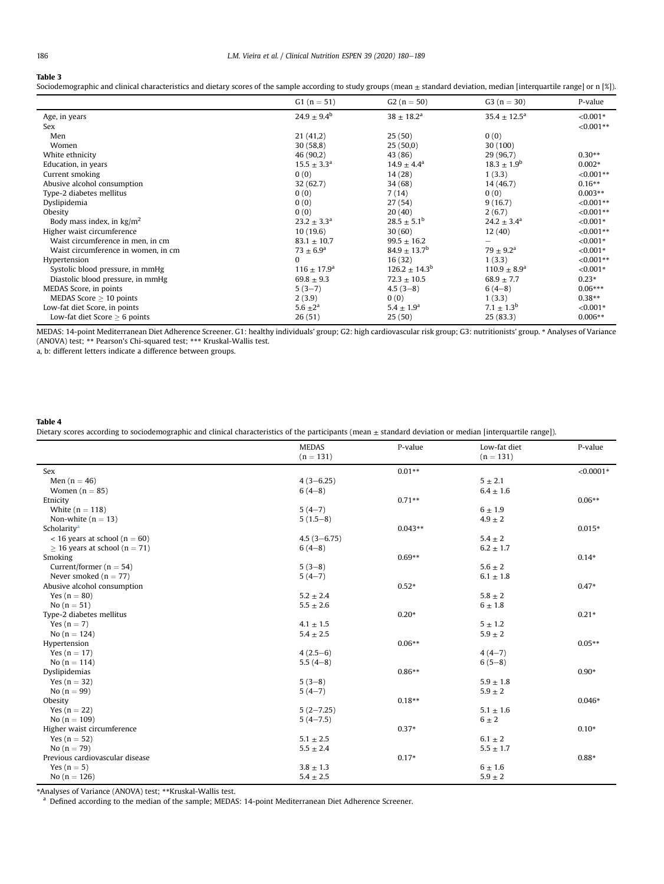$\overline{a}$ 

## <span id="page-6-0"></span>Table 3

Sociodemographic and clinical characteristics and dietary scores of the sample according to study groups (mean  $\pm$  standard deviation, median [interquartile range] or n [%]).

|                                     | $G1 (n = 51)$          | $G2(n = 50)$           | $G3 (n = 30)$              | P-value     |
|-------------------------------------|------------------------|------------------------|----------------------------|-------------|
| Age, in years                       | $24.9 \pm 9.4^{\rm b}$ | $38 \pm 18.2^{\rm a}$  | $35.4 \pm 12.5^{\text{a}}$ | $< 0.001*$  |
| Sex                                 |                        |                        |                            | $< 0.001**$ |
| Men                                 | 21(41,2)               | 25(50)                 | 0(0)                       |             |
| Women                               | 30(58,8)               | 25(50,0)               | 30 (100)                   |             |
| White ethnicity                     | 46(90,2)               | 43 (86)                | 29 (96,7)                  | $0.30**$    |
| Education, in years                 | $15.5 \pm 3.3^{\rm a}$ | $14.9 \pm 4.4^{\circ}$ | $18.3 \pm 1.9^{\rm b}$     | $0.002*$    |
| Current smoking                     | 0(0)                   | 14 (28)                | 1(3.3)                     | $< 0.001**$ |
| Abusive alcohol consumption         | 32 (62.7)              | 34 (68)                | 14 (46.7)                  | $0.16**$    |
| Type-2 diabetes mellitus            | 0(0)                   | 7(14)                  | 0(0)                       | $0.003**$   |
| Dyslipidemia                        | 0(0)                   | 27(54)                 | 9(16.7)                    | $< 0.001**$ |
| Obesity                             | 0(0)                   | 20(40)                 | 2(6.7)                     | $< 0.001**$ |
| Body mass index, in $\text{kg/m}^2$ | $23.2 \pm 3.3^a$       | $28.5 \pm 5.1^{\rm b}$ | $24.2 \pm 3.4^{\circ}$     | $< 0.001*$  |
| Higher waist circumference          | 10(19.6)               | 30(60)                 | 12(40)                     | $< 0.001**$ |
| Waist circumference in men, in cm   | $83.1 \pm 10.7$        | $99.5 \pm 16.2$        | $\overline{\phantom{0}}$   | $< 0.001*$  |
| Waist circumference in women, in cm | $73 \pm 6.9^{\rm a}$   | $84.9 \pm 13.7^b$      | $79 \pm 9.2^{\text{a}}$    | $< 0.001*$  |
| Hypertension                        | 0                      | 16(32)                 | 1(3.3)                     | $< 0.001**$ |
| Systolic blood pressure, in mmHg    | $116 \pm 17.9^{\circ}$ | $126.2 \pm 14.3^b$     | $110.9 \pm 8.9^{\rm a}$    | $< 0.001*$  |
| Diastolic blood pressure, in mmHg   | $69.8 \pm 9.3$         | $72.3 \pm 10.5$        | $68.9 \pm 7.7$             | $0.23*$     |
| MEDAS Score, in points              | $5(3-7)$               | $4.5(3-8)$             | $6(4-8)$                   | $0.06***$   |
| MEDAS Score $\geq$ 10 points        | 2(3.9)                 | 0(0)                   | 1(3.3)                     | $0.38**$    |
| Low-fat diet Score, in points       | 5.6 $\pm 2^a$          | $5.4 \pm 1.9^{\rm a}$  | $7.1 \pm 1.3^b$            | $< 0.001*$  |
| Low-fat diet Score $> 6$ points     | 26(51)                 | 25(50)                 | 25(83.3)                   | $0.006**$   |

MEDAS: 14-point Mediterranean Diet Adherence Screener. G1: healthy individuals' group; G2: high cardiovascular risk group; G3: nutritionists' group. \* Analyses of Variance (ANOVA) test; \*\* Pearson's Chi-squared test; \*\*\* Kruskal-Wallis test.

a, b: different letters indicate a difference between groups.

#### <span id="page-6-1"></span>Table 4

Dietary scores according to sociodemographic and clinical characteristics of the participants (mean  $\pm$  standard deviation or median [interquartile range]).

|                                    | <b>MEDAS</b><br>P-value<br>$(n = 131)$ | Low-fat diet | P-value       |             |
|------------------------------------|----------------------------------------|--------------|---------------|-------------|
|                                    |                                        |              | $(n = 131)$   |             |
| Sex                                |                                        | $0.01**$     |               | $< 0.0001*$ |
| Men $(n = 46)$                     | $4(3-6.25)$                            |              | $5 \pm 2.1$   |             |
| Women $(n = 85)$                   | $6(4-8)$                               |              | $6.4 \pm 1.6$ |             |
| Etnicity                           |                                        | $0.71**$     |               | $0.06**$    |
| White $(n = 118)$                  | $5(4-7)$                               |              | $6 \pm 1.9$   |             |
| Non-white ( $n = 13$ )             | $5(1.5-8)$                             |              | $4.9 \pm 2$   |             |
| Scholarity <sup>a</sup>            |                                        | $0.043**$    |               | $0.015*$    |
| $<$ 16 years at school (n = 60)    | $4.5(3 - 6.75)$                        |              | $5.4 \pm 2$   |             |
| $\geq$ 16 years at school (n = 71) | $6(4-8)$                               |              | $6.2 \pm 1.7$ |             |
| Smoking                            |                                        | $0.69**$     |               | $0.14*$     |
| Current/former ( $n = 54$ )        | $5(3-8)$                               |              | $5.6 \pm 2$   |             |
| Never smoked ( $n = 77$ )          | $5(4-7)$                               |              | $6.1 \pm 1.8$ |             |
| Abusive alcohol consumption        |                                        | $0.52*$      |               | $0.47*$     |
| Yes $(n = 80)$                     | $5.2 \pm 2.4$                          |              | $5.8 \pm 2$   |             |
| No $(n = 51)$                      | $5.5 \pm 2.6$                          |              | $6\pm1.8$     |             |
| Type-2 diabetes mellitus           |                                        | $0.20*$      |               | $0.21*$     |
| Yes $(n = 7)$                      | $4.1 \pm 1.5$                          |              | $5 \pm 1.2$   |             |
| No $(n = 124)$                     | $5.4 \pm 2.5$                          |              | $5.9 \pm 2$   |             |
| Hypertension                       |                                        | $0.06**$     |               | $0.05**$    |
| Yes $(n = 17)$                     | $4(2.5-6)$                             |              | $4(4-7)$      |             |
| No $(n = 114)$                     | $5.5(4-8)$                             |              | $6(5-8)$      |             |
| Dyslipidemias                      |                                        | $0.86**$     |               | $0.90*$     |
| Yes $(n = 32)$                     | $5(3-8)$                               |              | $5.9 \pm 1.8$ |             |
| No $(n = 99)$                      | $5(4-7)$                               |              | $5.9 \pm 2$   |             |
| Obesity                            |                                        | $0.18**$     |               | $0.046*$    |
| Yes $(n = 22)$                     | $5(2-7.25)$                            |              | $5.1 \pm 1.6$ |             |
| No $(n = 109)$                     | $5(4-7.5)$                             |              | $6 \pm 2$     |             |
| Higher waist circumference         |                                        | $0.37*$      |               | $0.10*$     |
| Yes $(n = 52)$                     | $5.1 \pm 2.5$                          |              | $6.1 \pm 2$   |             |
| No $(n = 79)$                      | $5.5 \pm 2.4$                          |              | $5.5 \pm 1.7$ |             |
| Previous cardiovascular disease    |                                        | $0.17*$      |               | $0.88*$     |
| Yes $(n = 5)$                      | $3.8 \pm 1.3$                          |              | $6\pm1.6$     |             |
| No $(n = 126)$                     | $5.4 \pm 2.5$                          |              | $5.9 \pm 2$   |             |

<span id="page-6-2"></span>\*Analyses of Variance (ANOVA) test; \*\*Kruskal-Wallis test.<br><sup>a</sup> Defined according to the median of the sample; MEDAS: 14-point Mediterranean Diet Adherence Screener.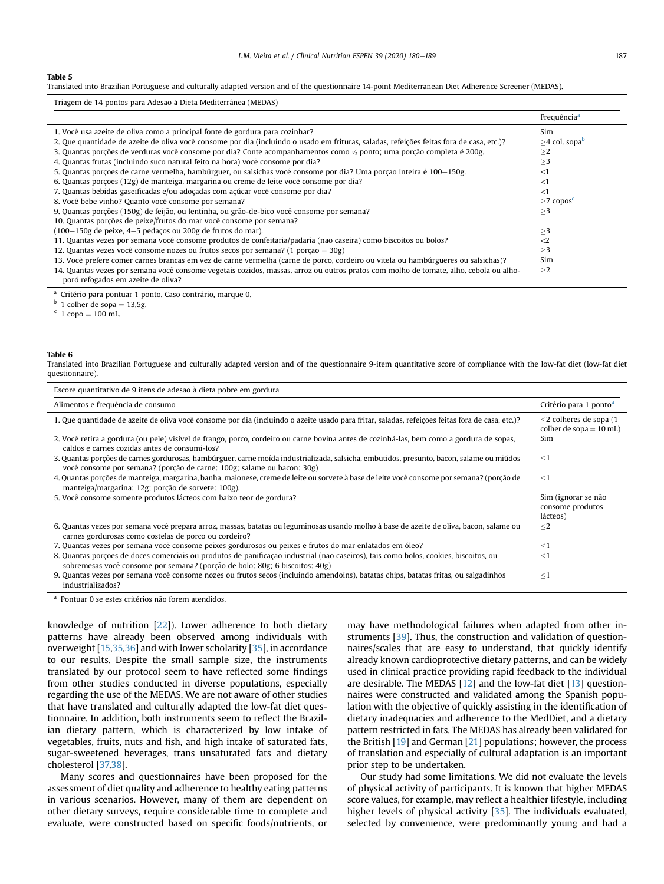#### <span id="page-7-0"></span>Table 5

Translated into Brazilian Portuguese and culturally adapted version and of the questionnaire 14-point Mediterranean Diet Adherence Screener (MEDAS).

| Triagem de 14 pontos para Adesão à Dieta Mediterrânea (MEDAS)                                                                                                               |                             |
|-----------------------------------------------------------------------------------------------------------------------------------------------------------------------------|-----------------------------|
|                                                                                                                                                                             | Frequência <sup>a</sup>     |
| 1. Você usa azeite de oliva como a principal fonte de gordura para cozinhar?                                                                                                | Sim                         |
| 2. Que quantidade de azeite de oliva você consome por dia (incluindo o usado em frituras, saladas, refeições feitas fora de casa, etc.)?                                    | $>4$ col. sopab             |
| 3. Quantas porções de verduras você consome por dia? Conte acompanhamentos como ½ ponto; uma porção completa é 200g.                                                        | >2                          |
| 4. Quantas frutas (incluindo suco natural feito na hora) você consome por dia?                                                                                              | $\geq$ 3                    |
| 5. Quantas porções de carne vermelha, hambúrguer, ou salsichas você consome por dia? Uma porção inteira é 100–150g.                                                         | ${<}1$                      |
| 6. Quantas porções (12g) de manteiga, margarina ou creme de leite você consome por dia?                                                                                     | ${<}1$                      |
| 7. Quantas bebidas gaseificadas e/ou adoçadas com açúcar você consome por dia?                                                                                              | ${<}1$                      |
| 8. Você bebe vinho? Quanto você consome por semana?                                                                                                                         | $\geq$ 7 copos <sup>c</sup> |
| 9. Quantas porções (150g) de feijão, ou lentinha, ou grão-de-bico você consome por semana?                                                                                  | $\geq$ 3                    |
| 10. Quantas porções de peixe/frutos do mar você consome por semana?                                                                                                         |                             |
| (100-150g de peixe, 4-5 pedaços ou 200g de frutos do mar).                                                                                                                  | $\geq$ 3                    |
| 11. Quantas vezes por semana você consome produtos de confeitaria/padaria (não caseira) como biscoitos ou bolos?                                                            | $\langle 2$                 |
| 12. Quantas vezes você consome nozes ou frutos secos por semana? (1 porção = $30g$ )                                                                                        | $\geq$ 3                    |
| 13. Você prefere comer carnes brancas em vez de carne vermelha (carne de porco, cordeiro ou vitela ou hambúrgueres ou salsichas)?                                           | Sim                         |
| 14. Quantas vezes por semana você consome vegetais cozidos, massas, arroz ou outros pratos com molho de tomate, alho, cebola ou alho-<br>poró refogados em azeite de oliva? | >2                          |

<span id="page-7-1"></span><sup>a</sup> Critério para pontuar 1 ponto. Caso contrário, marque 0.

<span id="page-7-2"></span> $b$  1 colher de sopa = 13,5g.<br>  $c$  1 copo = 100 mL.

<span id="page-7-3"></span>

#### Table 6

Translated into Brazilian Portuguese and culturally adapted version and of the questionnaire 9-item quantitative score of compliance with the low-fat diet (low-fat diet questionnaire).

| Escore quantitativo de 9 itens de adesão à dieta pobre em gordura                                                                                                                                                   |                                                        |
|---------------------------------------------------------------------------------------------------------------------------------------------------------------------------------------------------------------------|--------------------------------------------------------|
| Alimentos e frequência de consumo                                                                                                                                                                                   | Critério para 1 ponto <sup>a</sup>                     |
| 1. Que quantidade de azeite de oliva você consome por dia (incluindo o azeite usado para fritar, saladas, refeições feitas fora de casa, etc.)?                                                                     | $<$ 2 colheres de sopa (1<br>colher de sopa $= 10$ mL) |
| 2. Você retira a gordura (ou pele) visível de frango, porco, cordeiro ou carne bovina antes de cozinhá-las, bem como a gordura de sopas,<br>caldos e carnes cozidas antes de consumi-los?                           | Sim                                                    |
| 3. Quantas porções de carnes gordurosas, hambúrguer, carne moída industrializada, salsicha, embutidos, presunto, bacon, salame ou miúdos<br>você consome por semana? (porção de carne: 100g; salame ou bacon: 30g)  | $\leq1$                                                |
| 4. Quantas porções de manteiga, margarina, banha, maionese, creme de leite ou sorvete à base de leite você consome por semana? (porção de<br>manteiga/margarina: 12g; porção de sorvete: 100g).                     | $\leq1$                                                |
| 5. Você consome somente produtos lácteos com baixo teor de gordura?                                                                                                                                                 | Sim (ignorar se não<br>consome produtos<br>lácteos)    |
| 6. Quantas vezes por semana você prepara arroz, massas, batatas ou leguminosas usando molho à base de azeite de oliva, bacon, salame ou<br>carnes gordurosas como costelas de porco ou cordeiro?                    | $\leq$ 2                                               |
| 7. Quantas vezes por semana você consome peixes gordurosos ou peixes e frutos do mar enlatados em óleo?                                                                                                             | $\leq1$                                                |
| 8. Quantas porções de doces comerciais ou produtos de panificação industrial (não caseiros), tais como bolos, cookies, biscoitos, ou<br>sobremesas você consome por semana? (porção de bolo: 80g; 6 biscoitos: 40g) | $\leq1$                                                |
| 9. Quantas vezes por semana você consome nozes ou frutos secos (incluindo amendoins), batatas chips, batatas fritas, ou salgadinhos<br>industrializados?                                                            | $\leq1$                                                |

<span id="page-7-4"></span><sup>a</sup> Pontuar 0 se estes critérios não forem atendidos.

knowledge of nutrition [[22](#page-9-9)]). Lower adherence to both dietary patterns have already been observed among individuals with overweight  $[15,35,36]$  $[15,35,36]$  $[15,35,36]$  and with lower scholarity  $[35]$ , in accordance to our results. Despite the small sample size, the instruments translated by our protocol seem to have reflected some findings from other studies conducted in diverse populations, especially regarding the use of the MEDAS. We are not aware of other studies that have translated and culturally adapted the low-fat diet questionnaire. In addition, both instruments seem to reflect the Brazilian dietary pattern, which is characterized by low intake of vegetables, fruits, nuts and fish, and high intake of saturated fats, sugar-sweetened beverages, trans unsaturated fats and dietary cholesterol [\[37,](#page-9-12)[38](#page-9-13)].

Many scores and questionnaires have been proposed for the assessment of diet quality and adherence to healthy eating patterns in various scenarios. However, many of them are dependent on other dietary surveys, require considerable time to complete and evaluate, were constructed based on specific foods/nutrients, or may have methodological failures when adapted from other instruments [\[39\]](#page-9-14). Thus, the construction and validation of questionnaires/scales that are easy to understand, that quickly identify already known cardioprotective dietary patterns, and can be widely used in clinical practice providing rapid feedback to the individual are desirable. The MEDAS [[12](#page-8-11)] and the low-fat diet [[13\]](#page-8-16) questionnaires were constructed and validated among the Spanish population with the objective of quickly assisting in the identification of dietary inadequacies and adherence to the MedDiet, and a dietary pattern restricted in fats. The MEDAS has already been validated for the British [\[19](#page-8-15)] and German [\[21](#page-9-15)] populations; however, the process of translation and especially of cultural adaptation is an important prior step to be undertaken.

Our study had some limitations. We did not evaluate the levels of physical activity of participants. It is known that higher MEDAS score values, for example, may reflect a healthier lifestyle, including higher levels of physical activity [[35](#page-9-10)]. The individuals evaluated, selected by convenience, were predominantly young and had a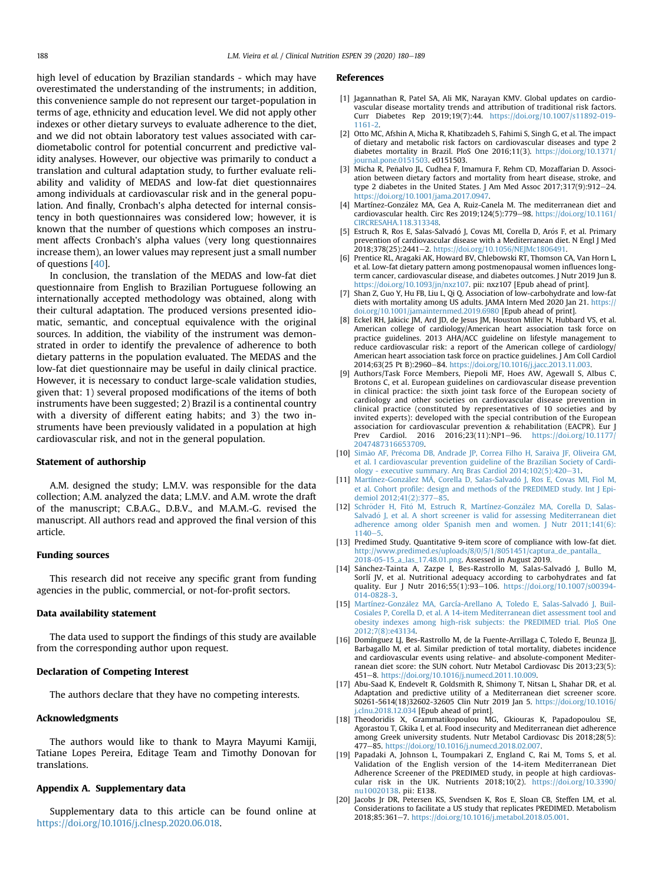high level of education by Brazilian standards - which may have overestimated the understanding of the instruments; in addition, this convenience sample do not represent our target-population in terms of age, ethnicity and education level. We did not apply other indexes or other dietary surveys to evaluate adherence to the diet, and we did not obtain laboratory test values associated with cardiometabolic control for potential concurrent and predictive validity analyses. However, our objective was primarily to conduct a translation and cultural adaptation study, to further evaluate reliability and validity of MEDAS and low-fat diet questionnaires among individuals at cardiovascular risk and in the general population. And finally, Cronbach's alpha detected for internal consistency in both questionnaires was considered low; however, it is known that the number of questions which composes an instrument affects Cronbach's alpha values (very long questionnaires increase them), an lower values may represent just a small number of questions [\[40\]](#page-9-16).

In conclusion, the translation of the MEDAS and low-fat diet questionnaire from English to Brazilian Portuguese following an internationally accepted methodology was obtained, along with their cultural adaptation. The produced versions presented idiomatic, semantic, and conceptual equivalence with the original sources. In addition, the viability of the instrument was demonstrated in order to identify the prevalence of adherence to both dietary patterns in the population evaluated. The MEDAS and the low-fat diet questionnaire may be useful in daily clinical practice. However, it is necessary to conduct large-scale validation studies, given that: 1) several proposed modifications of the items of both instruments have been suggested; 2) Brazil is a continental country with a diversity of different eating habits; and 3) the two instruments have been previously validated in a population at high cardiovascular risk, and not in the general population.

## Statement of authorship

A.M. designed the study; L.M.V. was responsible for the data collection; A.M. analyzed the data; L.M.V. and A.M. wrote the draft of the manuscript; C.B.A.G., D.B.V., and M.A.M.-G. revised the manuscript. All authors read and approved the final version of this article.

## Funding sources

This research did not receive any specific grant from funding agencies in the public, commercial, or not-for-profit sectors.

## Data availability statement

The data used to support the findings of this study are available from the corresponding author upon request.

## Declaration of Competing Interest

The authors declare that they have no competing interests.

## Acknowledgments

The authors would like to thank to Mayra Mayumi Kamiji, Tatiane Lopes Pereira, Editage Team and Timothy Donovan for translations.

# Appendix A. Supplementary data

Supplementary data to this article can be found online at <https://doi.org/10.1016/j.clnesp.2020.06.018>.

#### References

- <span id="page-8-0"></span>[1] Jagannathan R, Patel SA, Ali MK, Narayan KMV. Global updates on cardiovascular disease mortality trends and attribution of traditional risk factors. Curr Diabetes Rep 2019;19(7):44. [https://doi.org/10.1007/s11892-019-](https://doi.org/10.1007/s11892-019-1161-2) [1161-2.](https://doi.org/10.1007/s11892-019-1161-2)
- <span id="page-8-1"></span>[2] Otto MC, Afshin A, Micha R, Khatibzadeh S, Fahimi S, Singh G, et al. The impact of dietary and metabolic risk factors on cardiovascular diseases and type 2 diabetes mortality in Brazil. PloS One 2016;11(3). [https://doi.org/10.1371/](https://doi.org/10.1371/journal.pone.0151503) [journal.pone.0151503](https://doi.org/10.1371/journal.pone.0151503). e0151503.
- <span id="page-8-2"></span>[3] Micha R, Peñalvo JL, Cudhea F, Imamura F, Rehm CD, Mozaffarian D. Association between dietary factors and mortality from heart disease, stroke, and type 2 diabetes in the United States. J Am Med Assoc  $2017;317(9):912-24$ . <https://doi.org/10.1001/jama.2017.0947>.
- <span id="page-8-3"></span>[4] Martínez-González MA, Gea A, Ruiz-Canela M. The mediterranean diet and cardiovascular health. Circ Res 2019;124(5):779-98. [https://doi.org/10.1161/](https://doi.org/10.1161/CIRCRESAHA.118.313348) [CIRCRESAHA.118.313348.](https://doi.org/10.1161/CIRCRESAHA.118.313348)
- <span id="page-8-4"></span>[5] Estruch R, Ros E, Salas-Salvadó J, Covas MI, Corella D, Arós F, et al. Primary prevention of cardiovascular disease with a Mediterranean diet. N Engl J Med 2018;378(25):2441-2. https://doi.org/10.1056/NEJMc1806491
- <span id="page-8-5"></span>[6] Prentice RL, Aragaki AK, Howard BV, Chlebowski RT, Thomson CA, Van Horn L, et al. Low-fat dietary pattern among postmenopausal women influences longterm cancer, cardiovascular disease, and diabetes outcomes. J Nutr 2019 Jun 8. [https://doi.org/10.1093/jn/nxz107.](https://doi.org/10.1093/jn/nxz107) pii: nxz107 [Epub ahead of print].
- <span id="page-8-6"></span>[7] Shan Z, Guo Y, Hu FB, Liu L, Qi Q. Association of low-carbohydrate and low-fat diets with mortality among US adults. JAMA Intern Med 2020 Jan 21. [https://](https://doi.org/10.1001/jamainternmed.2019.6980) [doi.org/10.1001/jamainternmed.2019.6980](https://doi.org/10.1001/jamainternmed.2019.6980) [Epub ahead of print].
- <span id="page-8-7"></span>[8] Eckel RH, Jakicic JM, Ard JD, de Jesus JM, Houston Miller N, Hubbard VS, et al. American college of cardiology/American heart association task force on practice guidelines. 2013 AHA/ACC guideline on lifestyle management to reduce cardiovascular risk: a report of the American college of cardiology/ American heart association task force on practice guidelines. J Am Coll Cardiol 2014;63(25 Pt B):2960-84. https://doi.org/10.1016/j.jacc.2013.11.003
- Authors/Task Force Members, Piepoli MF, Hoes AW, Agewall S, Albus C, Brotons C, et al. European guidelines on cardiovascular disease prevention in clinical practice: the sixth joint task force of the European society of cardiology and other societies on cardiovascular disease prevention in clinical practice (constituted by representatives of 10 societies and by invited experts): developed with the special contribution of the European association for cardiovascular prevention & rehabilitation (EACPR). Eur J Prev Cardiol. 2016 2016;23(11):NP1-96. https://doi.org/10.117 [2047487316653709.](https://doi.org/10.1177/2047487316653709)
- <span id="page-8-17"></span>[10] [Sim](http://refhub.elsevier.com/S2405-4577(20)30133-9/sref10)ão AF, Précoma DB, Andrade JP, Correa Filho H, Saraiva JF, Oliveira GM [et al. I cardiovascular prevention guideline of the Brazilian Society of Cardi](http://refhub.elsevier.com/S2405-4577(20)30133-9/sref10)[ology - executive summary. Arq Bras Cardiol 2014;102\(5\):420](http://refhub.elsevier.com/S2405-4577(20)30133-9/sref10)-[31](http://refhub.elsevier.com/S2405-4577(20)30133-9/sref10).
- <span id="page-8-8"></span>[11] Martínez-González MÁ, Corella D, Salas-Salvadó [J, Ros E, Covas MI, Fiol M,](http://refhub.elsevier.com/S2405-4577(20)30133-9/sref11) et al. Cohort profi[le: design and methods of the PREDIMED study. Int J Epi](http://refhub.elsevier.com/S2405-4577(20)30133-9/sref11)[demiol 2012;41\(2\):377](http://refhub.elsevier.com/S2405-4577(20)30133-9/sref11)-[85](http://refhub.elsevier.com/S2405-4577(20)30133-9/sref11).
- <span id="page-8-11"></span>[12] Schröder H, Fitó [M, Estruch R, Martínez-Gonz](http://refhub.elsevier.com/S2405-4577(20)30133-9/sref12)á[lez MA, Corella D, Salas-](http://refhub.elsevier.com/S2405-4577(20)30133-9/sref12) Salvadó J, et al. A short screener is valid for assessing Mediterranean diet [adherence among older Spanish men and women. J Nutr 2011;141\(6\):](http://refhub.elsevier.com/S2405-4577(20)30133-9/sref12)  $1140 - 5.$  $1140 - 5.$  $1140 - 5.$  $1140 - 5.$
- <span id="page-8-16"></span>[13] Predimed Study. Quantitative 9-item score of compliance with low-fat diet. [http://www.predimed.es/uploads/8/0/5/1/8051451/captura\\_de\\_pantalla\\_](http://www.predimed.es/uploads/8/0/5/1/8051451/captura_de_pantalla_2018-05-15_a_las_17.48.01.png) [2018-05-15\\_a\\_las\\_17.48.01.png](http://www.predimed.es/uploads/8/0/5/1/8051451/captura_de_pantalla_2018-05-15_a_las_17.48.01.png). Assessed in August 2019.
- <span id="page-8-9"></span>[14] Sánchez-Tainta A, Zazpe I, Bes-Rastrollo M, Salas-Salvadó J, Bullo M, Sorlí JV, et al. Nutritional adequacy according to carbohydrates and fat quality. Eur J Nutr 2016;55(1):93-106. [https://doi.org/10.1007/s00394-](https://doi.org/10.1007/s00394-014-0828-3) [014-0828-3](https://doi.org/10.1007/s00394-014-0828-3).
- <span id="page-8-10"></span>[15] Martínez-González MA, García-Arellano A, Toledo E, Salas-Salvadó J, Buil-[Cosiales P, Corella D, et al. A 14-item Mediterranean diet assessment tool and](http://refhub.elsevier.com/S2405-4577(20)30133-9/sref15) [obesity indexes among high-risk subjects: the PREDIMED trial. PloS One](http://refhub.elsevier.com/S2405-4577(20)30133-9/sref15) [2012;7\(8\):e43134.](http://refhub.elsevier.com/S2405-4577(20)30133-9/sref15)
- <span id="page-8-12"></span>[16] Domínguez LJ, Bes-Rastrollo M, de la Fuente-Arrillaga C, Toledo E, Beunza JJ, Barbagallo M, et al. Similar prediction of total mortality, diabetes incidence and cardiovascular events using relative- and absolute-component Mediterranean diet score: the SUN cohort. Nutr Metabol Cardiovasc Dis 2013;23(5): 451e8. <https://doi.org/10.1016/j.numecd.2011.10.009>.
- <span id="page-8-13"></span>[17] Abu-Saad K, Endevelt R, Goldsmith R, Shimony T, Nitsan L, Shahar DR, et al. Adaptation and predictive utility of a Mediterranean diet screener score. S0261-5614(18)32602-32605 Clin Nutr 2019 Jan 5. [https://doi.org/10.1016/](https://doi.org/10.1016/j.clnu.2018.12.034) [j.clnu.2018.12.034](https://doi.org/10.1016/j.clnu.2018.12.034) [Epub ahead of print].
- <span id="page-8-14"></span>[18] Theodoridis X, Grammatikopoulou MG, Gkiouras K, Papadopoulou SE, Agorastou T, Gkika I, et al. Food insecurity and Mediterranean diet adherence among Greek university students. Nutr Metabol Cardiovasc Dis 2018;28(5): 477e85. <https://doi.org/10.1016/j.numecd.2018.02.007>.
- <span id="page-8-15"></span>[19] Papadaki A, Johnson L, Toumpakari Z, England C, Rai M, Toms S, et al. Validation of the English version of the 14-item Mediterranean Diet Adherence Screener of the PREDIMED study, in people at high cardiovascular risk in the UK. Nutrients 2018;10(2). [https://doi.org/10.3390/](https://doi.org/10.3390/nu10020138) [nu10020138.](https://doi.org/10.3390/nu10020138) pii: E138.
- [20] Jacobs Jr DR, Petersen KS, Svendsen K, Ros E, Sloan CB, Steffen LM, et al. Considerations to facilitate a US study that replicates PREDIMED. Metabolism 2018;85:361e7. [https://doi.org/10.1016/j.metabol.2018.05.001.](https://doi.org/10.1016/j.metabol.2018.05.001)